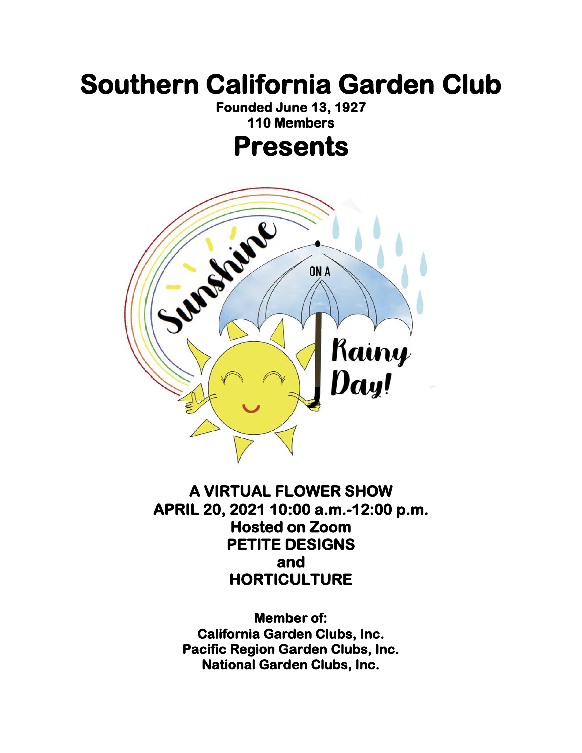# **Southern California Garden Club**

**Founded June 13, 1927 110 Members** 

### **Presents**



#### **A VIRTUAL FLOWER SHOW APRIL 20, 2021 10:00 a.m.-12:00 p.m. Hosted on Zoom PETITE DESIGNS and HORTICULTURE**

**Member of: California Garden Clubs, Inc. Pacific Region Garden Clubs, Inc. National Garden Clubs, Inc.**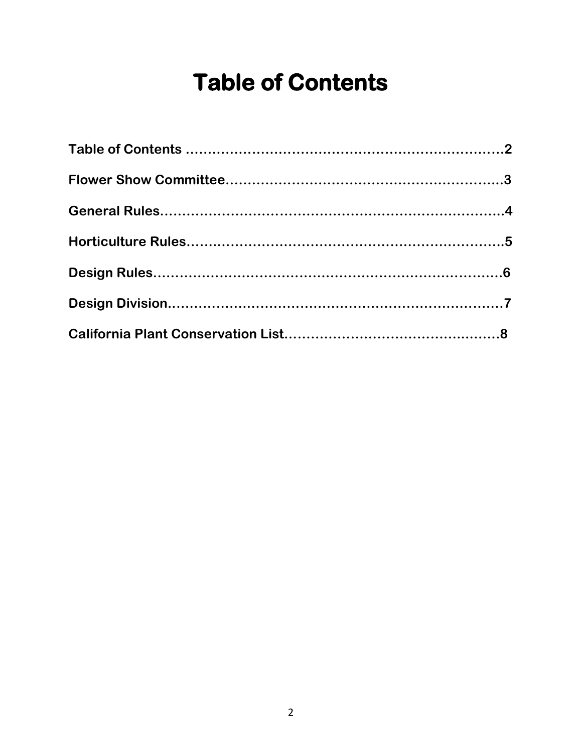# **Table of Contents**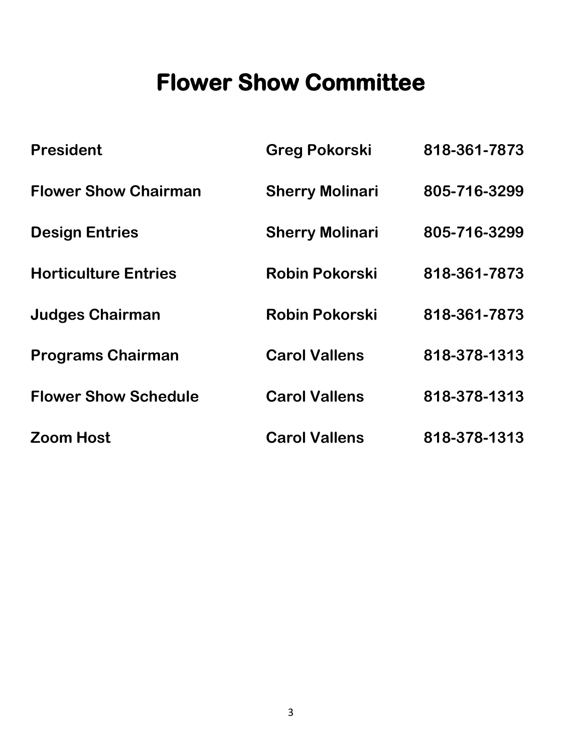# **Flower Show Committee**

| <b>President</b>            | <b>Greg Pokorski</b>   | 818-361-7873 |
|-----------------------------|------------------------|--------------|
| <b>Flower Show Chairman</b> | <b>Sherry Molinari</b> | 805-716-3299 |
| <b>Design Entries</b>       | <b>Sherry Molinari</b> | 805-716-3299 |
| <b>Horticulture Entries</b> | <b>Robin Pokorski</b>  | 818-361-7873 |
| <b>Judges Chairman</b>      | <b>Robin Pokorski</b>  | 818-361-7873 |
| <b>Programs Chairman</b>    | <b>Carol Vallens</b>   | 818-378-1313 |
| <b>Flower Show Schedule</b> | <b>Carol Vallens</b>   | 818-378-1313 |
| <b>Zoom Host</b>            | <b>Carol Vallens</b>   | 818-378-1313 |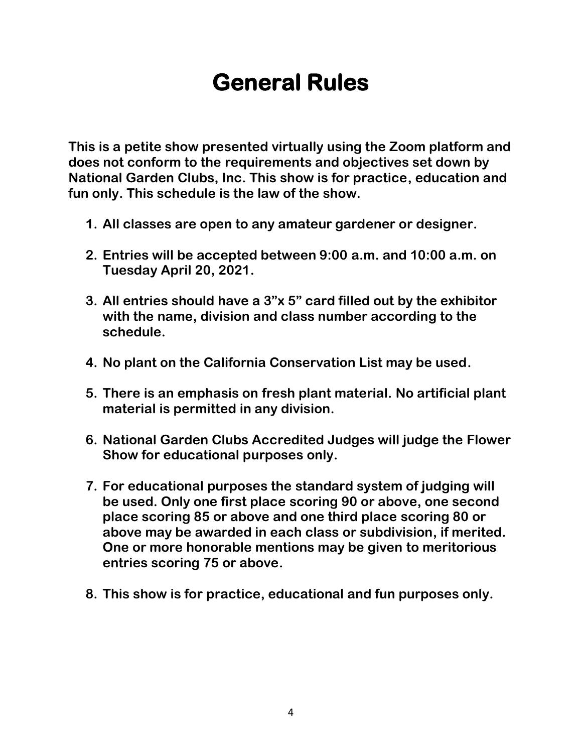# **General Rules**

**This is a petite show presented virtually using the Zoom platform and does not conform to the requirements and objectives set down by National Garden Clubs, Inc. This show is for practice, education and fun only. This schedule is the law of the show.**

- **1. All classes are open to any amateur gardener or designer.**
- **2. Entries will be accepted between 9:00 a.m. and 10:00 a.m. on Tuesday April 20, 2021.**
- **3. All entries should have a 3"x 5" card filled out by the exhibitor with the name, division and class number according to the schedule.**
- **4. No plant on the California Conservation List may be used.**
- **5. There is an emphasis on fresh plant material. No artificial plant material is permitted in any division.**
- **6. National Garden Clubs Accredited Judges will judge the Flower Show for educational purposes only.**
- **7. For educational purposes the standard system of judging will be used. Only one first place scoring 90 or above, one second place scoring 85 or above and one third place scoring 80 or above may be awarded in each class or subdivision, if merited. One or more honorable mentions may be given to meritorious entries scoring 75 or above.**
- **8. This show is for practice, educational and fun purposes only.**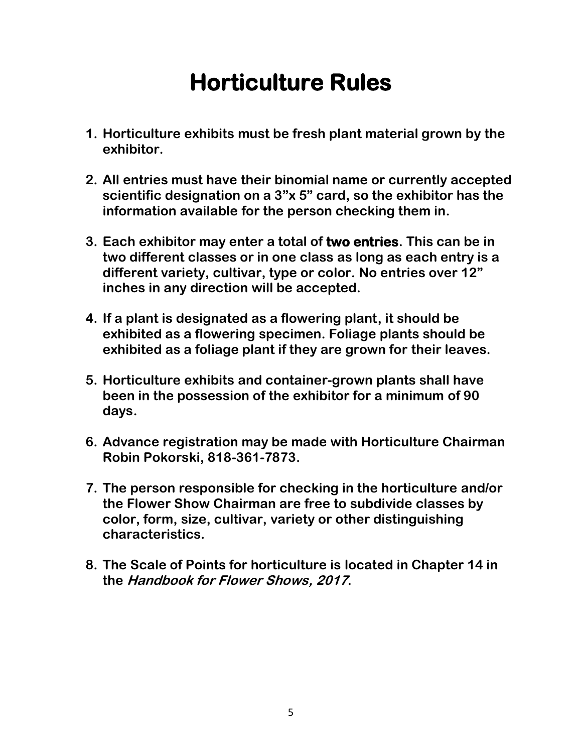# **Horticulture Rules**

- **1. Horticulture exhibits must be fresh plant material grown by the exhibitor.**
- **2. All entries must have their binomial name or currently accepted scientific designation on a 3"x 5" card, so the exhibitor has the information available for the person checking them in.**
- **3. Each exhibitor may enter a total of two entries. This can be in two different classes or in one class as long as each entry is a different variety, cultivar, type or color. No entries over 12" inches in any direction will be accepted.**
- **4. If a plant is designated as a flowering plant, it should be exhibited as a flowering specimen. Foliage plants should be exhibited as a foliage plant if they are grown for their leaves.**
- **5. Horticulture exhibits and container-grown plants shall have been in the possession of the exhibitor for a minimum of 90 days.**
- **6. Advance registration may be made with Horticulture Chairman Robin Pokorski, 818-361-7873.**
- **7. The person responsible for checking in the horticulture and/or the Flower Show Chairman are free to subdivide classes by color, form, size, cultivar, variety or other distinguishing characteristics.**
- **8. The Scale of Points for horticulture is located in Chapter 14 in the Handbook for Flower Shows, 2017.**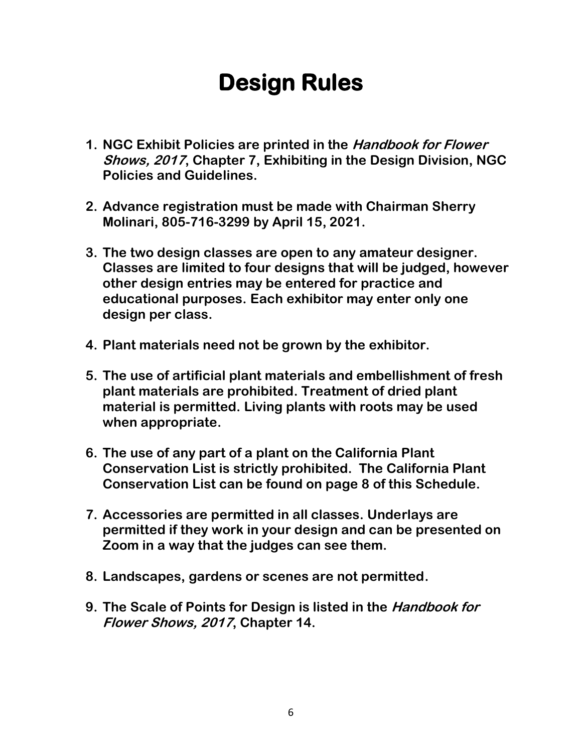# **Design Rules**

- **1. NGC Exhibit Policies are printed in the Handbook for Flower Shows, 2017, Chapter 7, Exhibiting in the Design Division, NGC Policies and Guidelines.**
- **2. Advance registration must be made with Chairman Sherry Molinari, 805-716-3299 by April 15, 2021.**
- **3. The two design classes are open to any amateur designer. Classes are limited to four designs that will be judged, however other design entries may be entered for practice and educational purposes. Each exhibitor may enter only one design per class.**
- **4. Plant materials need not be grown by the exhibitor.**
- **5. The use of artificial plant materials and embellishment of fresh plant materials are prohibited. Treatment of dried plant material is permitted. Living plants with roots may be used when appropriate.**
- **6. The use of any part of a plant on the California Plant Conservation List is strictly prohibited. The California Plant Conservation List can be found on page 8 of this Schedule.**
- **7. Accessories are permitted in all classes. Underlays are permitted if they work in your design and can be presented on Zoom in a way that the judges can see them.**
- **8. Landscapes, gardens or scenes are not permitted.**
- **9. The Scale of Points for Design is listed in the Handbook for Flower Shows, 2017, Chapter 14.**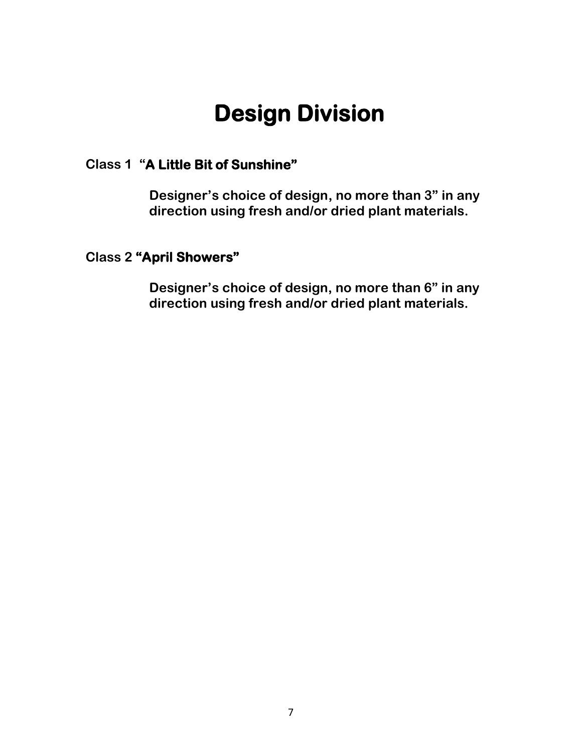# **Design Division**

#### **Class 1 "A Little Bit of Sunshine"**

**Designer's choice of design, no more than 3" in any direction using fresh and/or dried plant materials.**

#### **Class 2 "April Showers"**

**Designer's choice of design, no more than 6" in any direction using fresh and/or dried plant materials.**